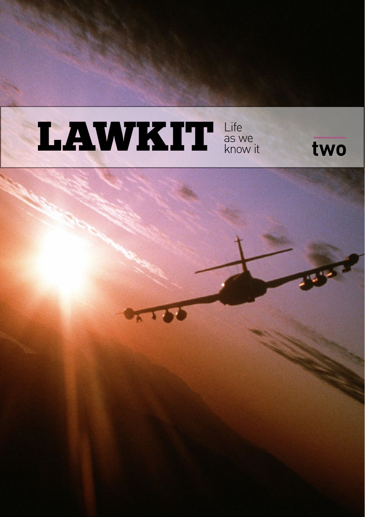

# **RES**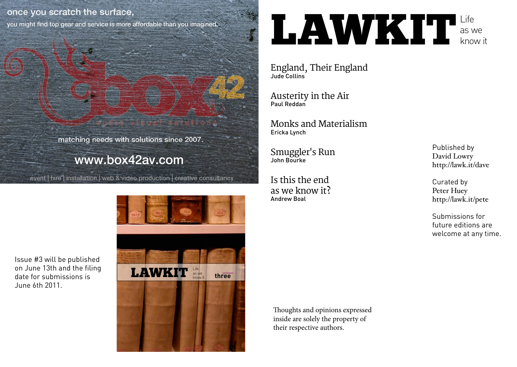#### once you scratch the surface,

you might find top gear and service is more affordable than you imagined.

matching needs with solutions since 2007.

#### www.box42av.com

event | hire | installation | web & video production | creative consultancy



**LAWKITL** as we know it

England, Their England Jude Collins

Austerity in the Air Paul Reddan

Monks and Materialism Ericka Lynch

Smuggler's Run John Bourke

Is this the end as we know it? Andrew Boal

Published by David Lowry http://lawk.it/dave

Curated by Peter Huey http://lawk.it/pete

Submissions for future editions are welcome at any time.

Thoughts and opinions expressed inside are solely the property of their respective authors.

Issue #3 will be published on June 13th and the filing date for submissions is June 6th 2011.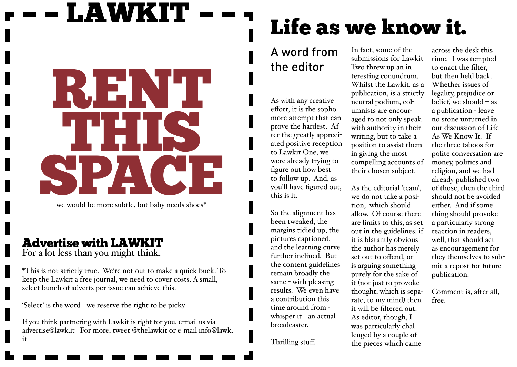# LAWKIT RENT THIS **PACE**

we would be more subtle, but baby needs shoes\*

#### Advertise with LAWKIT

For a lot less than you might think.

\*This is not strictly true. We're not out to make a quick buck. To keep the Lawkit a free journal, we need to cover costs. A small, select bunch of adverts per issue can achieve this.

'Select' is the word - we reserve the right to be picky.

If you think partnering with Lawkit is right for you, e-mail us via advertise@lawk.it For more, tweet @thelawkit or e-mail info@lawk. it

# Life as we know it.

#### A word from the editor

As with any creative effort, it is the sophomore attempt that can prove the hardest. After the greatly appreciated positive reception to Lawkit One, we were already trying to figure out how best to follow up. And, as you'll have figured out, this is it.

So the alignment has been tweaked, the margins tidied up, the pictures captioned, and the learning curve further inclined. But the content guidelines remain broadly the same - with pleasing results. We even have a contribution this time around from whisper it - an actual broadcaster.

Thrilling stuff.

In fact, some of the submissions for Lawkit Two threw up an interesting conundrum. Whilst the Lawkit, as a publication, is a strictly neutral podium, columnists are encouraged to not only speak with authority in their writing, but to take a position to assist them in giving the most compelling accounts of their chosen subject.

As the editorial 'team', we do not take a position, which should allow. Of course there are limits to this, as set out in the guidelines: if it is blatantly obvious the author has merely set out to offend, or is arguing something purely for the sake of it (not just to provoke thought, which is separate, to my mind) then it will be filtered out. As editor, though, I was particularly challenged by a couple of the pieces which came

across the desk this time. I was tempted to enact the filter, but then held back. Whether issues of legality, prejudice or belief, we should – as a publication - leave no stone unturned in our discussion of Life As We Know It. If the three taboos for polite conversation are money, politics and religion, and we had already published two of those, then the third should not be avoided either. And if something should provoke a particularly strong reaction in readers, well, that should act as encouragement for they themselves to submit a repost for future publication.

Comment is, after all, free.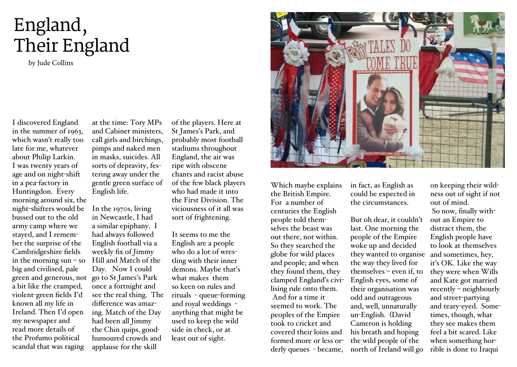### England, Their England

by Jude Collins

I discovered England in the summer of 1963, which wasn't really too late for me, whatever about Philip Larkin. I was twenty years of age and on night-shift in a pea-factory in Huntingdon. Every morning around six, the night-shifters would be bussed out to the old army camp where we stayed, and I remember the surprise of the Cambridgeshire fields in the morning  $sun - so$ big and civilised, pale green and generous, not go to St James's Park a bit like the cramped, violent-green fields I'd known all my life in Ireland. Then I'd open my newspaper and read more details of the Profumo political scandal that was raging

at the time: Tory MPs and Cabinet ministers, call girls and birchings, pimps and naked men in masks, suicides. All sorts of depravity, festering away under the gentle green surface of English life.

In the 1970s, living in Newcastle, I had a similar epiphany. I had always followed English football via a weekly fix of Jimmy Hill and Match of the Day. Now I could once a fortnight and see the real thing. The difference was amazing. Match of the Day had been all Jimmy the Chin quips, goodhumoured crowds and applause for the skill

of the players. Here at St James's Park, and probably most football stadiums throughout England, the air was ripe with obscene chants and racist abuse of the few black players who had made it into the First Division. The viciousness of it all was sort of frightening.

It seems to me the English are a people who do a lot of wrestling with their inner demons. Maybe that's what makes them so keen on rules and rituals - queue-forming and royal weddings anything that might be used to keep the wild side in check, or at least out of sight.



Which maybe explains the British Empire. For a number of centuries the English people told themselves the beast was out there, not within. So they searched the globe for wild places and people; and when they found them, they clamped England's civilising rule onto them. And for a time it seemed to work. The peoples of the Empire took to cricket and covered their loins and formed more or less orderly queues - became,

in fact, as English as could be expected in the circumstances.

But oh dear, it couldn't last. One morning the people of the Empire woke up and decided they wanted to organise the way they lived for themselves – even if, to English eyes, some of their organisation was odd and outrageous and, well, unnaturally un-English. (David Cameron is holding his breath and hoping the wild people of the north of Ireland will go

on keeping their wildness out of sight if not out of mind. So now, finally without an Empire to distract them, the English people have to look at themselves and sometimes, hey, it's OK. Like the way they were when Wills and Kate got married recently – neighbourly and street-partying and teary-eyed. Sometimes, though, what they see makes them feel a bit scared. Like when something horrible is done to Iraqui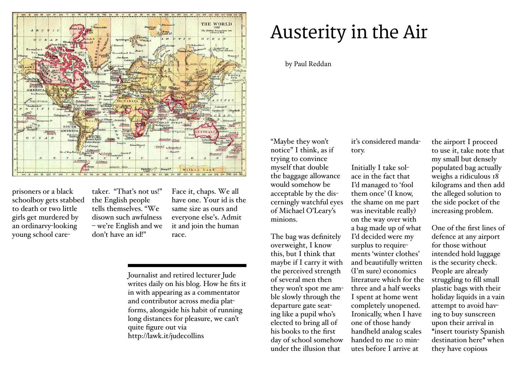

prisoners or a black schoolboy gets stabbed to death or two little girls get murdered by an ordinarvy-looking young school care-

taker. "That's not us!" the English people tells themselves. "We disown such awfulness – we're English and we don't have an id!"

Face it, chaps. We all have one. Your id is the same size as ours and everyone else's. Admit it and join the human race.

Journalist and retired lecturer Jude writes daily on his blog. How he fits it in with appearing as a commentator and contributor across media platforms, alongside his habit of running long distances for pleasure, we can't quite figure out via http://lawk.it/judecollins

#### Austerity in the Air

#### by Paul Reddan

"Maybe they won't notice" I think, as if trying to convince myself that double the baggage allowance would somehow be acceptable by the discerningly watchful eyes of Michael O'Leary's minions.

The bag was definitely overweight, I know this, but I think that maybe if I carry it with the perceived strength of several men then they won't spot me amble slowly through the departure gate seating like a pupil who's elected to bring all of his books to the first day of school somehow under the illusion that

it's considered mandatory.

Initially I take solace in the fact that I'd managed to 'fool them once' (I know, the shame on me part was inevitable really) on the way over with a bag made up of what I'd decided were my surplus to requirements 'winter clothes' and beautifully written (I'm sure) economics literature which for the three and a half weeks I spent at home went completely unopened. Ironically, when I have one of those handy handheld analog scales handed to me 10 minutes before I arrive at

the airport I proceed to use it, take note that my small but densely populated bag actually weighs a ridiculous 18 kilograms and then add the alleged solution to the side pocket of the increasing problem.

One of the first lines of defence at any airport for those without intended hold luggage is the security check. People are already struggling to fill small plastic bags with their holiday liquids in a vain attempt to avoid having to buy sunscreen upon their arrival in \*insert touristy Spanish destination here\* when they have copious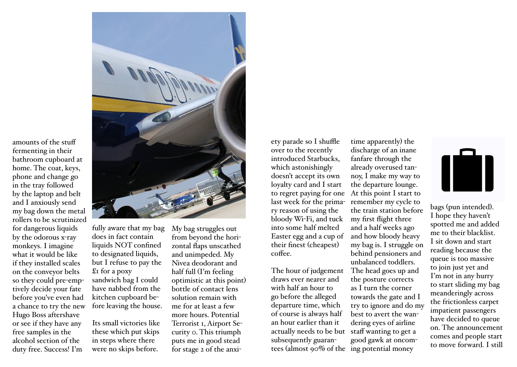

fermenting in their bathroom cupboard at home. The coat, keys, phone and change go in the tray followed by the laptop and belt and I anxiously send my bag down the metal rollers to be scrutinized for dangerous liquids by the odorous x-ray monkeys. I imagine what it would be like if they installed scales on the conveyor belts so they could pre-emptively decide your fate before you've even had a chance to try the new Hugo Boss aftershave or see if they have any free samples in the alcohol section of the duty free. Success! I'm

amounts of the stuff

fully aware that my bag does in fact contain liquids NOT confined to designated liquids, but I refuse to pay the £1 for a poxy sandwich bag I could have nabbed from the kitchen cupboard before leaving the house.

Its small victories like these which put skips in steps where there were no skips before.

My bag struggles out from beyond the horizontal flaps unscathed and unimpeded. My Nivea deodorant and half full (I'm feeling optimistic at this point) bottle of contact lens solution remain with me for at least a few more hours. Potential Terrorist 1, Airport Security 0. This triumph puts me in good stead for stage 2 of the anxiety parade so I shuffle over to the recently introduced Starbucks, which astonishingly doesn't accept its own loyalty card and I start to regret paying for one last week for the primary reason of using the bloody Wi-Fi, and tuck into some half melted Easter egg and a cup of their finest (cheapest) coffee.

The hour of judgement draws ever nearer and with half an hour to go before the alleged departure time, which of course is always half an hour earlier than it actually needs to be but subsequently guarantees (almost 90% of the ing potential money

time apparently) the discharge of an inane fanfare through the already overused tannoy, I make my way to the departure lounge. At this point I start to remember my cycle to the train station before my first flight three and a half weeks ago and how bloody heavy my bag is. I struggle on behind pensioners and unbalanced toddlers. The head goes up and the posture corrects as I turn the corner towards the gate and I try to ignore and do my best to avert the wandering eyes of airline staff wanting to get a good gawk at oncom-



bags (pun intended). I hope they haven't spotted me and added me to their blacklist. I sit down and start reading because the queue is too massive to join just yet and I'm not in any hurry to start sliding my bag meanderingly across the frictionless carpet impatient passengers have decided to queue on. The announcement comes and people start to move forward. I still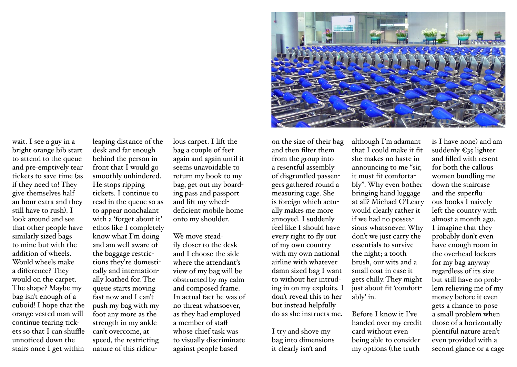wait. I see a guy in a bright orange bib start to attend to the queue and pre-emptively tear tickets to save time (as if they need to! They give themselves half an hour extra and they still have to rush). I look around and see that other people have similarly sized bags to mine but with the addition of wheels. Would wheels make a difference? They would on the carpet. The shape? Maybe my bag isn't enough of a cuboid! I hope that the orange vested man will continue tearing tickets so that I can shuffle unnoticed down the stairs once I get within

leaping distance of the desk and far enough behind the person in front that I would go smoothly unhindered. He stops ripping tickets. I continue to read in the queue so as to appear nonchalant with a 'forget about it' ethos like I completely know what I'm doing and am well aware of the baggage restrictions they're domestically and internationally loathed for. The queue starts moving fast now and I can't push my bag with my foot any more as the strength in my ankle can't overcome, at speed, the restricting nature of this ridiculous carpet. I lift the bag a couple of feet again and again until it seems unavoidable to return my book to my bag, get out my boarding pass and passport and lift my wheeldeficient mobile home onto my shoulder.

We move steadily closer to the desk and I choose the side where the attendant's view of my bag will be obstructed by my calm and composed frame. In actual fact he was of no threat whatsoever, as they had employed a member of staff whose chief task was to visually discriminate against people based

on the size of their bag and then filter them from the group into a resentful assembly of disgruntled passengers gathered round a measuring cage. She is foreign which actually makes me more annoyed. I suddenly feel like I should have every right to fly out of my own country with my own national airline with whatever damn sized bag I want to without her intruding in on my exploits. I don't reveal this to her but instead helpfully do as she instructs me.

I try and shove my bag into dimensions it clearly isn't and

although I'm adamant that I could make it fit she makes no haste in announcing to me "sir, it must fit comfortably". Why even bother bringing hand luggage at all? Michael O'Leary would clearly rather it if we had no possessions whatsoever. Why don't we just carry the essentials to survive the night; a tooth brush, our wits and a small coat in case it gets chilly. They might just about fit 'comfortably' in.

Before I know it I've handed over my credit card without even being able to consider my options (the truth

is I have none) and am suddenly  $\epsilon_{35}$  lighter and filled with resent for both the callous women bundling me down the staircase and the superfluous books I naively left the country with almost a month ago. I imagine that they probably don't even have enough room in the overhead lockers for my bag anyway regardless of its size but still have no problem relieving me of my money before it even gets a chance to pose a small problem when those of a horizontally plentiful nature aren't even provided with a second glance or a cage

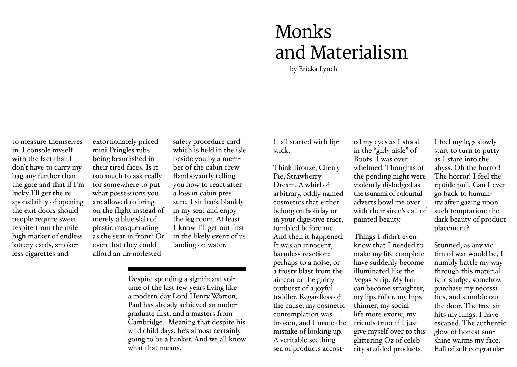#### Monks and Materialism

by Ericka Lynch

to measure themselves in. I console myself with the fact that I don't have to carry my bag any further than the gate and that if I'm lucky I'll get the responsibility of opening the exit doors should people require sweet respite from the mile high market of endless lottery cards, smokeless cigarettes and

extortionately priced mini-Pringles tubs being brandished in their tired faces. Is it too much to ask really for somewhere to put what possessions you are allowed to bring on the flight instead of merely a blue slab of plastic masquerading as the seat in front? Or even that they could afford an un-molested

safety procedure card which is held in the isle beside you by a member of the cabin crew flamboyantly telling you how to react after a loss in cabin pressure. I sit back blankly in my seat and enjoy the leg room. At least I know I'll get out first in the likely event of us landing on water.

Despite spending a significant volume of the last few years living like a modern-day Lord Henry Wotton, Paul has already achieved an undergraduate first, and a masters from Cambridge. Meaning that despite his wild child days, he's almost certainly going to be a banker. And we all know what that means.

It all started with lipstick.

Think Bronze, Cherry Pie, Strawberry Dream. A whirl of arbitrary, oddly named cosmetics that either belong on holiday or in your digestive tract, tumbled before me. And then it happened. It was an innocent, harmless reaction: perhaps to a noise, or a frosty blast from the air-con or the giddy outburst of a joyful toddler. Regardless of the cause, my cosmetic contemplation was broken, and I made the mistake of looking up. A veritable seething sea of products accosted my eyes as I stood in the "girly aisle" of Boots. I was overwhelmed. Thoughts of the pending night were violently dislodged as the tsunami of colourful adverts bowl me over with their siren's call of painted beauty.

Things I didn't even know that I needed to make my life complete have suddenly become illuminated like the Vegas Strip. My hair can become straighter, my lips fuller, my hips thinner, my social life more exotic, my friends truer if I just give myself over to this glittering Oz of celebrity studded products.

I feel my legs slowly start to turn to putty as I stare into the abyss. Oh the horror! The horror! I feel the riptide pull. Can I ever go back to humanity after gazing upon such temptation: the dark beauty of product placement?

Stunned, as any victim of war would be, I numbly battle my way through this materialistic sludge, somehow purchase my necessities, and stumble out the door. The free air hits my lungs. I have escaped. The authentic glow of honest sunshine warms my face. Full of self congratula-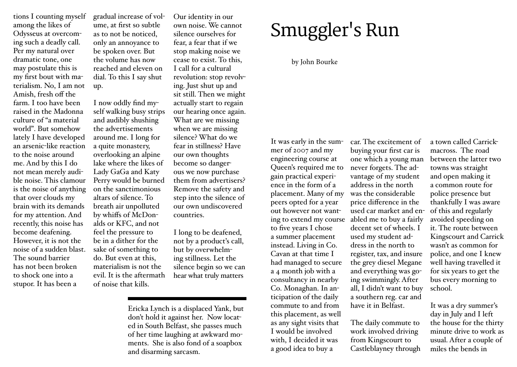tions I counting myself among the likes of Odysseus at overcoming such a deadly call. Per my natural over dramatic tone, one may postulate this is my first bout with materialism. No, I am not Amish, fresh off the farm. I too have been raised in the Madonna culture of "a material world". But somehow lately I have developed an arsenic-like reaction to the noise around me. And by this I do not mean merely audiis the noise of anything that over clouds my brain with its demands for my attention. And recently, this noise has become deafening. However, it is not the noise of a sudden blast. The sound barrier has not been broken to shock one into a stupor. It has been a

gradual increase of volume, at first so subtle as to not be noticed, only an annoyance to be spoken over. But the volume has now reached and eleven on dial. To this I say shut up.

ble noise. This clamour Perry would be burned I now oddly find myself walking busy strips and audibly shushing the advertisements around me. I long for a quite monastery, overlooking an alpine lake where the likes of Lady GaGa and Katy on the sanctimonious altars of silence. To breath air unpolluted by whiffs of McDonalds or KFC, and not feel the pressure to be in a dither for the sake of something to do. But even at this, materialism is not the evil. It is the aftermath of noise that kills.

Our identity in our own noise. We cannot silence ourselves for fear, a fear that if we stop making noise we cease to exist. To this, I call for a cultural revolution: stop revolving. Just shut up and sit still. Then we might actually start to regain our hearing once again. What are we missing when we are missing silence? What do we fear in stillness? Have our own thoughts become so dangerous we now purchase them from advertisers? Remove the safety and step into the silence of our own undiscovered countries.

I long to be deafened, not by a product's call, but by overwhelming stillness. Let the silence begin so we can hear what truly matters

Ericka Lynch is a displaced Yank, but don't hold it against her. Now located in South Belfast, she passes much of her time laughing at awkward moments. She is also fond of a soapbox and disarming sarcasm.

## Smuggler's Run

#### by John Bourke

It was early in the summer of 2007 and my engineering course at Queen's required me to gain practical experience in the form of a placement. Many of my peers opted for a year out however not wanting to extend my course to five years I chose a summer placement instead. Living in Co. Cavan at that time I had managed to secure a 4 month job with a consultancy in nearby Co. Monaghan. In anticipation of the daily commute to and from this placement, as well as any sight visits that I would be involved with, I decided it was a good idea to buy a

car. The excitement of buying your first car is one which a young man never forgets. The advantage of my student address in the north was the considerable price difference in the used car market and enabled me to buy a fairly decent set of wheels. I used my student address in the north to register, tax, and insure the grey diesel Megane and everything was going swimmingly. After all, I didn't want to buy a southern reg. car and have it in Belfast.

The daily commute to work involved driving from Kingscourt to Castleblayney through

a town called Carrickmacross. The road between the latter two towns was straight and open making it a common route for police presence but thankfully I was aware of this and regularly avoided speeding on it. The route between Kingscourt and Carrick wasn't as common for police, and one I knew well having travelled it for six years to get the bus every morning to school.

It was a dry summer's day in July and I left the house for the thirty minute drive to work as usual. After a couple of miles the bends in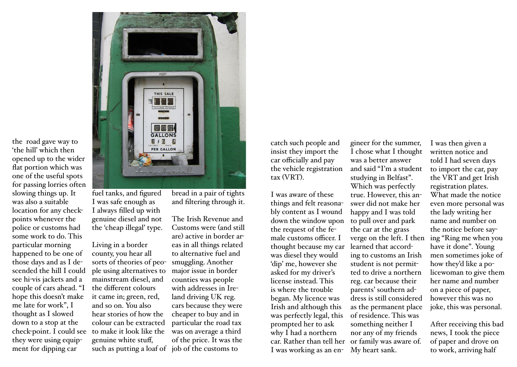

the road gave way to 'the hill' which then opened up to the wider flat portion which was one of the useful spots for passing lorries often slowing things up. It was also a suitable location for any checkpoints whenever the police or customs had some work to do. This particular morning happened to be one of those days and as I descended the hill I could see hi-vis jackets and a couple of cars ahead. "I hope this doesn't make me late for work", I thought as I slowed down to a stop at the they were using equipment for dipping car

fuel tanks, and figured I was safe enough as I always filled up with genuine diesel and not the 'cheap illegal' type.

check-point. I could see to make it look like the Living in a border county, you hear all sorts of theories of people using alternatives to mainstream diesel, and the different colours it came in; green, red, and so on. You also hear stories of how the colour can be extracted genuine white stuff, such as putting a loaf of job of the customs to

bread in a pair of tights and filtering through it.

The Irish Revenue and Customs were (and still are) active in border areas in all things related to alternative fuel and smuggling. Another major issue in border counties was people with addresses in Ireland driving UK reg. cars because they were cheaper to buy and in particular the road tax was on average a third of the price. It was the

catch such people and insist they import the car officially and pay the vehicle registration tax (VRT).

I was aware of these things and felt reasonably content as I wound down the window upon the request of the female customs officer. I thought because my car was diesel they would 'dip' me, however she asked for my driver's license instead. This is where the trouble began. My licence was Irish and although this was perfectly legal, this prompted her to ask why I had a northern car. Rather than tell her I was working as an en-

gineer for the summer, I chose what I thought was a better answer and said "I'm a student studying in Belfast".

Which was perfectly true. However, this answer did not make her happy and I was told to pull over and park the car at the grass verge on the left. I then learned that according to customs an Irish student is not permitted to drive a northern reg. car because their parents' southern address is still considered as the permanent place of residence. This was something neither I nor any of my friends or family was aware of. My heart sank.

I was then given a written notice and told I had seven days to import the car, pay the VRT and get Irish registration plates. What made the notice even more personal was the lady writing her name and number on the notice before saying "Ring me when you have it done". Young men sometimes joke of how they'd like a policewoman to give them her name and number on a piece of paper, however this was no joke, this was personal.

After receiving this bad news, I took the piece of paper and drove on to work, arriving half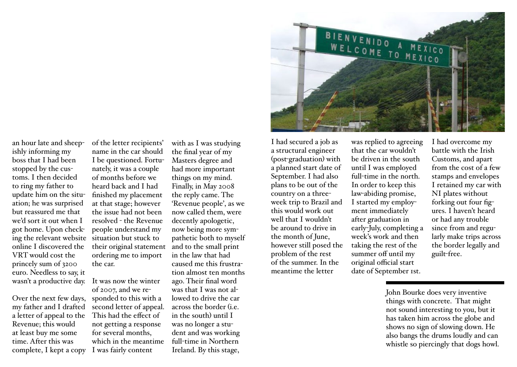an hour late and sheepishly informing my boss that I had been stopped by the customs. I then decided to ring my father to update him on the situation; he was surprised but reassured me that we'd sort it out when I got home. Upon checking the relevant website situation but stuck to online I discovered the VRT would cost the princely sum of 3200 euro. Needless to say, it

Over the next few days, my father and I drafted a letter of appeal to the Revenue; this would at least buy me some time. After this was complete, I kept a copy I was fairly content

of the letter recipients' name in the car should I be questioned. Fortunately, it was a couple of months before we heard back and I had finished my placement at that stage; however the issue had not been resolved - the Revenue people understand my their original statement ordering me to import the car.

wasn't a productive day. It was now the winter of 2007, and we responded to this with a second letter of appeal. This had the effect of not getting a response for several months, which in the meantime

with as I was studying the final year of my Masters degree and had more important things on my mind. Finally, in May 2008 the reply came. The 'Revenue people', as we now called them, were decently apologetic, now being more sympathetic both to myself and to the small print in the law that had caused me this frustration almost ten months ago. Their final word was that I was not allowed to drive the car across the border (i.e. in the south) until I was no longer a student and was working full-time in Northern Ireland. By this stage,



I had secured a job as a structural engineer (post-graduation) with a planned start date of September. I had also plans to be out of the country on a threeweek trip to Brazil and this would work out well that I wouldn't be around to drive in the month of June, however still posed the problem of the rest of the summer. In the meantime the letter

was replied to agreeing that the car wouldn't be driven in the south until I was employed full-time in the north. In order to keep this law-abiding promise, I started my employment immediately after graduation in early-July, completing a week's work and then taking the rest of the summer off until my original official start date of September 1st.

I had overcome my battle with the Irish Customs, and apart from the cost of a few stamps and envelopes I retained my car with NI plates without forking out four figures. I haven't heard or had any trouble since from and regularly make trips across the border legally and guilt-free.

John Bourke does very inventive things with concrete. That might not sound interesting to you, but it has taken him across the globe and shows no sign of slowing down. He also bangs the drums loudly and can whistle so piercingly that dogs howl.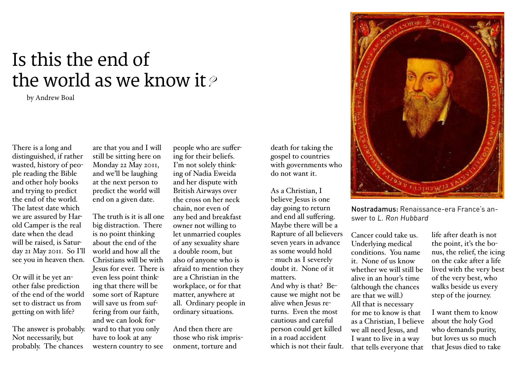#### Is this the end of the world as we know it  $\ell$

by Andrew Boal

There is a long and distinguished, if rather wasted, history of people reading the Bible and other holy books and trying to predict the end of the world. The latest date which we are assured by Harold Camper is the real date when the dead will be raised, is Saturday 21 May 2011. So I'll see you in heaven then.

Or will it be yet another false prediction of the end of the world set to distract us from getting on with life?

The answer is probably. Not necessarily, but probably. The chances

are that you and I will still be sitting here on Monday 22 May 2011, and we'll be laughing at the next person to predict the world will end on a given date.

The truth is it is all one big distraction. There is no point thinking about the end of the world and how all the Christians will be with Jesus for ever. There is even less point thinking that there will be some sort of Rapture will save us from suffering from our faith, and we can look forward to that you only have to look at any western country to see

people who are suffering for their beliefs. I'm not solely thinking of Nadia Eweida and her dispute with British Airways over the cross on her neck chain, nor even of any bed and breakfast owner not willing to let unmarried couples of any sexuality share a double room, but also of anyone who is afraid to mention they are a Christian in the workplace, or for that matter, anywhere at all. Ordinary people in ordinary situations.

And then there are those who risk imprisonment, torture and

death for taking the gospel to countries with governments who do not want it.

As a Christian, I believe Jesus is one day going to return and end all suffering. Maybe there will be a Rapture of all believers seven years in advance as some would hold - much as I severely doubt it. None of it matters. And why is that? Because we might not be alive when Jesus returns. Even the most cautious and careful person could get killed in a road accident which is not their fault.



Nostradamus: Renaissance-era France's answer to L. Ron Hubbard

Cancer could take us. Underlying medical conditions. You name it. None of us know whether we will still be alive in an hour's time (although the chances are that we will.) All that is necessary for me to know is that as a Christian, I believe we all need Jesus, and I want to live in a way that tells everyone that

life after death is not the point, it's the bonus, the relief, the icing on the cake after a life lived with the very best of the very best, who walks beside us every step of the journey.

I want them to know about the holy God who demands purity, but loves us so much that Jesus died to take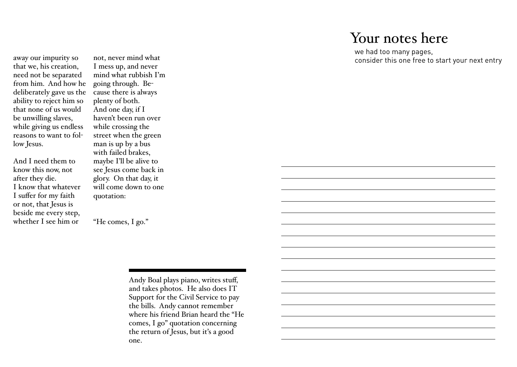#### Your notes here

we had too many pages, consider this one free to start your next entry

away our impurity so that we, his creation, need not be separated from him. And how he deliberately gave us the ability to reject him so that none of us would be unwilling slaves, while giving us endless reasons to want to follow Jesus.

And I need them to know this now, not after they die. I know that whatever I suffer for my faith or not, that Jesus is beside me every step, whether I see him or

not, never mind what I mess up, and never mind what rubbish I'm going through. Because there is always plenty of both. And one day, if I haven't been run over while crossing the street when the green man is up by a bus with failed brakes, maybe I'll be alive to see Jesus come back in glory. On that day, it will come down to one quotation:

"He comes, I go."

Andy Boal plays piano, writes stuff, and takes photos. He also does IT Support for the Civil Service to pay the bills. Andy cannot remember where his friend Brian heard the "He comes, I go" quotation concerning the return of Jesus, but it's a good one.